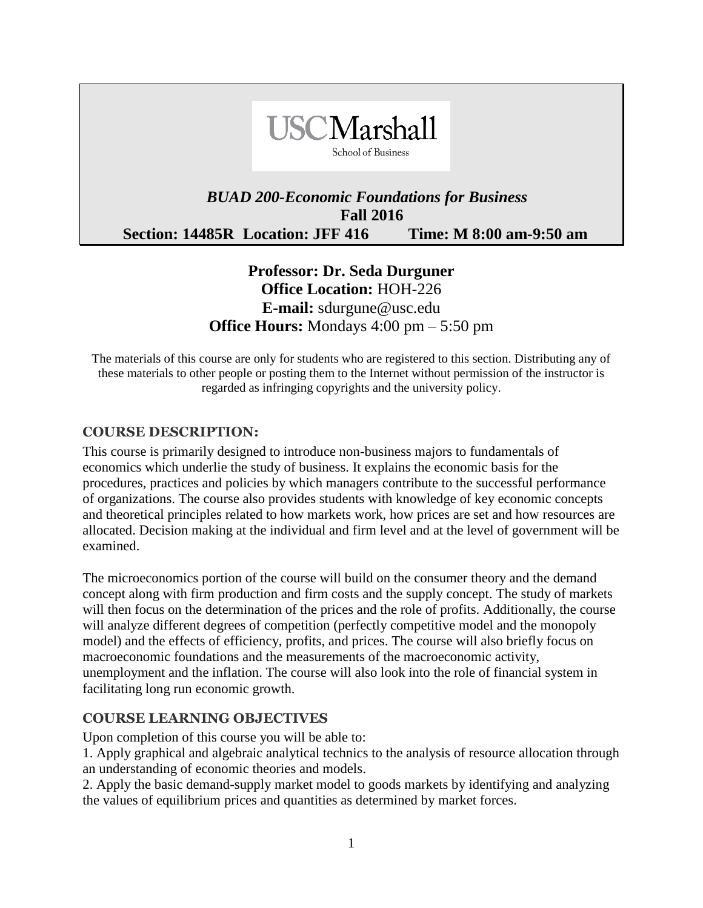

# *BUAD 200-Economic Foundations for Business*  **Fall 2016 Section: 14485R Location: JFF 416 Time: M 8:00 am-9:50 am**

# **Professor: Dr. Seda Durguner Office Location:** HOH-226 **E-mail:** sdurgune@usc.edu **Office Hours:** Mondays 4:00 pm – 5:50 pm

The materials of this course are only for students who are registered to this section. Distributing any of these materials to other people or posting them to the Internet without permission of the instructor is regarded as infringing copyrights and the university policy.

### **COURSE DESCRIPTION:**

This course is primarily designed to introduce non-business majors to fundamentals of economics which underlie the study of business. It explains the economic basis for the procedures, practices and policies by which managers contribute to the successful performance of organizations. The course also provides students with knowledge of key economic concepts and theoretical principles related to how markets work, how prices are set and how resources are allocated. Decision making at the individual and firm level and at the level of government will be examined.

The microeconomics portion of the course will build on the consumer theory and the demand concept along with firm production and firm costs and the supply concept. The study of markets will then focus on the determination of the prices and the role of profits. Additionally, the course will analyze different degrees of competition (perfectly competitive model and the monopoly model) and the effects of efficiency, profits, and prices. The course will also briefly focus on macroeconomic foundations and the measurements of the macroeconomic activity, unemployment and the inflation. The course will also look into the role of financial system in facilitating long run economic growth.

#### **COURSE LEARNING OBJECTIVES**

Upon completion of this course you will be able to:

1. Apply graphical and algebraic analytical technics to the analysis of resource allocation through an understanding of economic theories and models.

2. Apply the basic demand-supply market model to goods markets by identifying and analyzing the values of equilibrium prices and quantities as determined by market forces.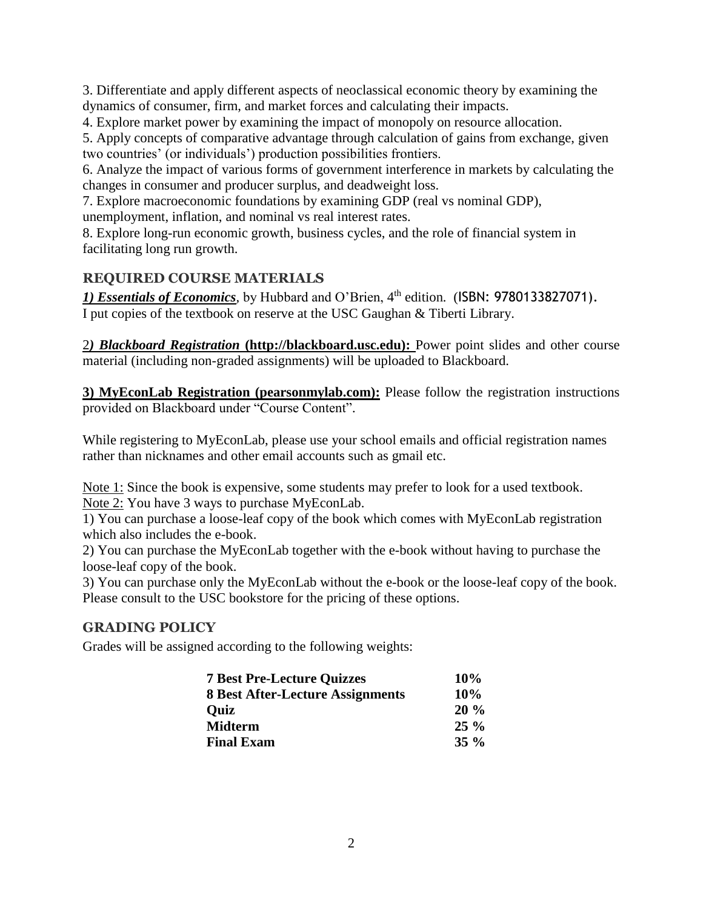3. Differentiate and apply different aspects of neoclassical economic theory by examining the dynamics of consumer, firm, and market forces and calculating their impacts.

4. Explore market power by examining the impact of monopoly on resource allocation.

5. Apply concepts of comparative advantage through calculation of gains from exchange, given two countries' (or individuals') production possibilities frontiers.

6. Analyze the impact of various forms of government interference in markets by calculating the changes in consumer and producer surplus, and deadweight loss.

7. Explore macroeconomic foundations by examining GDP (real vs nominal GDP), unemployment, inflation, and nominal vs real interest rates.

8. Explore long-run economic growth, business cycles, and the role of financial system in facilitating long run growth.

# **REQUIRED COURSE MATERIALS**

*1) Essentials of Economics,* by Hubbard and O'Brien, 4 th edition*.* (ISBN: 9780133827071). I put copies of the textbook on reserve at the USC Gaughan & Tiberti Library.

2*) Blackboard Registration* **(http://blackboard.usc.edu):** Power point slides and other course material (including non-graded assignments) will be uploaded to Blackboard.

**3) MyEconLab Registration (pearsonmylab.com):** Please follow the registration instructions provided on Blackboard under "Course Content".

While registering to MyEconLab, please use your school emails and official registration names rather than nicknames and other email accounts such as gmail etc.

Note 1: Since the book is expensive, some students may prefer to look for a used textbook. Note 2: You have 3 ways to purchase MyEconLab.

1) You can purchase a loose-leaf copy of the book which comes with MyEconLab registration which also includes the e-book.

2) You can purchase the MyEconLab together with the e-book without having to purchase the loose-leaf copy of the book.

3) You can purchase only the MyEconLab without the e-book or the loose-leaf copy of the book. Please consult to the USC bookstore for the pricing of these options.

# **GRADING POLICY**

Grades will be assigned according to the following weights:

| <b>7 Best Pre-Lecture Quizzes</b>       | 10%    |
|-----------------------------------------|--------|
| <b>8 Best After-Lecture Assignments</b> | 10%    |
| <b>Quiz</b>                             | 20%    |
| <b>Midterm</b>                          | $25\%$ |
| <b>Final Exam</b>                       | $35\%$ |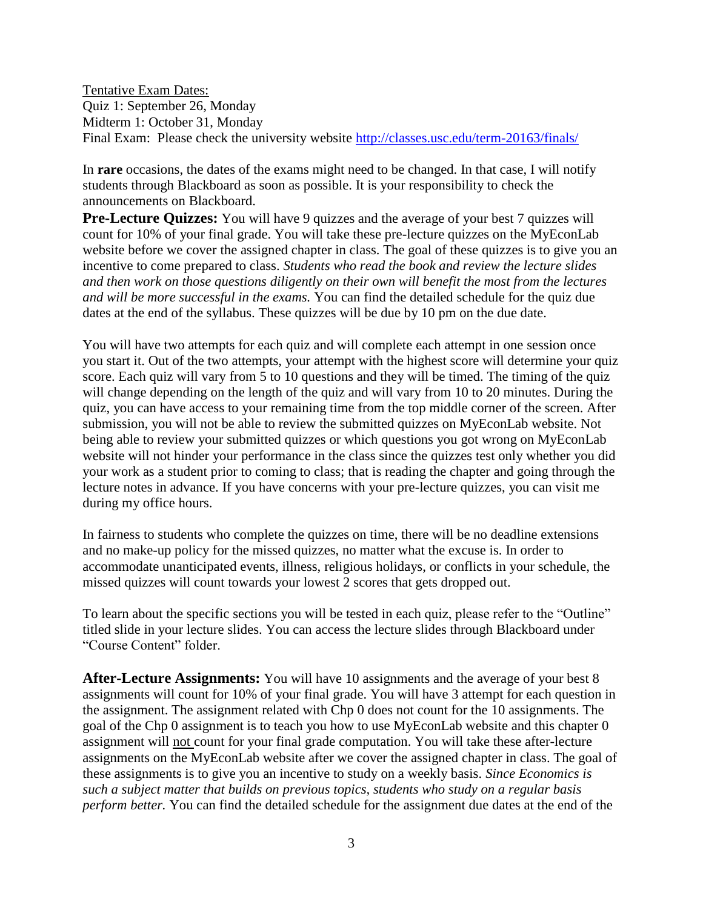Tentative Exam Dates: Quiz 1: September 26, Monday Midterm 1: October 31, Monday Final Exam: Please check the university website<http://classes.usc.edu/term-20163/finals/>

In **rare** occasions, the dates of the exams might need to be changed. In that case, I will notify students through Blackboard as soon as possible. It is your responsibility to check the announcements on Blackboard.

**Pre-Lecture Quizzes:** You will have 9 quizzes and the average of your best 7 quizzes will count for 10% of your final grade. You will take these pre-lecture quizzes on the MyEconLab website before we cover the assigned chapter in class. The goal of these quizzes is to give you an incentive to come prepared to class. *Students who read the book and review the lecture slides and then work on those questions diligently on their own will benefit the most from the lectures and will be more successful in the exams.* You can find the detailed schedule for the quiz due dates at the end of the syllabus. These quizzes will be due by 10 pm on the due date.

You will have two attempts for each quiz and will complete each attempt in one session once you start it. Out of the two attempts, your attempt with the highest score will determine your quiz score. Each quiz will vary from 5 to 10 questions and they will be timed. The timing of the quiz will change depending on the length of the quiz and will vary from 10 to 20 minutes. During the quiz, you can have access to your remaining time from the top middle corner of the screen. After submission, you will not be able to review the submitted quizzes on MyEconLab website. Not being able to review your submitted quizzes or which questions you got wrong on MyEconLab website will not hinder your performance in the class since the quizzes test only whether you did your work as a student prior to coming to class; that is reading the chapter and going through the lecture notes in advance. If you have concerns with your pre-lecture quizzes, you can visit me during my office hours.

In fairness to students who complete the quizzes on time, there will be no deadline extensions and no make-up policy for the missed quizzes, no matter what the excuse is. In order to accommodate unanticipated events, illness, religious holidays, or conflicts in your schedule, the missed quizzes will count towards your lowest 2 scores that gets dropped out.

To learn about the specific sections you will be tested in each quiz, please refer to the "Outline" titled slide in your lecture slides. You can access the lecture slides through Blackboard under "Course Content" folder.

**After-Lecture Assignments:** You will have 10 assignments and the average of your best 8 assignments will count for 10% of your final grade. You will have 3 attempt for each question in the assignment. The assignment related with Chp 0 does not count for the 10 assignments. The goal of the Chp 0 assignment is to teach you how to use MyEconLab website and this chapter 0 assignment will not count for your final grade computation. You will take these after-lecture assignments on the MyEconLab website after we cover the assigned chapter in class. The goal of these assignments is to give you an incentive to study on a weekly basis. *Since Economics is such a subject matter that builds on previous topics, students who study on a regular basis perform better.* You can find the detailed schedule for the assignment due dates at the end of the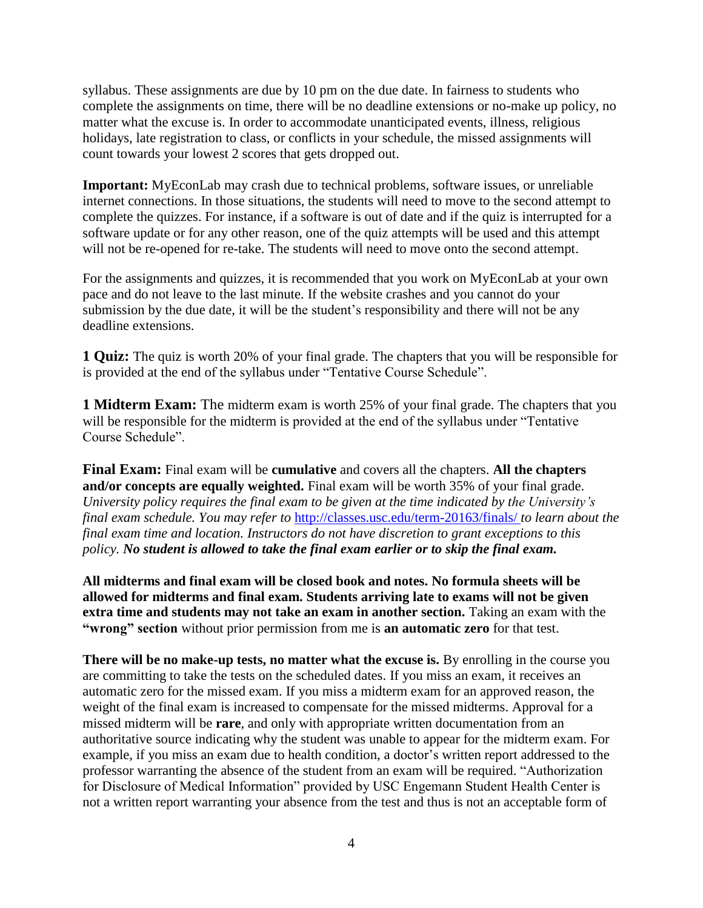syllabus. These assignments are due by 10 pm on the due date. In fairness to students who complete the assignments on time, there will be no deadline extensions or no-make up policy, no matter what the excuse is. In order to accommodate unanticipated events, illness, religious holidays, late registration to class, or conflicts in your schedule, the missed assignments will count towards your lowest 2 scores that gets dropped out.

**Important:** MyEconLab may crash due to technical problems, software issues, or unreliable internet connections. In those situations, the students will need to move to the second attempt to complete the quizzes. For instance, if a software is out of date and if the quiz is interrupted for a software update or for any other reason, one of the quiz attempts will be used and this attempt will not be re-opened for re-take. The students will need to move onto the second attempt.

For the assignments and quizzes, it is recommended that you work on MyEconLab at your own pace and do not leave to the last minute. If the website crashes and you cannot do your submission by the due date, it will be the student's responsibility and there will not be any deadline extensions.

**1 Quiz:** The quiz is worth 20% of your final grade. The chapters that you will be responsible for is provided at the end of the syllabus under "Tentative Course Schedule".

**1 Midterm Exam:** The midterm exam is worth 25% of your final grade. The chapters that you will be responsible for the midterm is provided at the end of the syllabus under "Tentative Course Schedule".

**Final Exam:** Final exam will be **cumulative** and covers all the chapters. **All the chapters and/or concepts are equally weighted.** Final exam will be worth 35% of your final grade. *University policy requires the final exam to be given at the time indicated by the University's final exam schedule. You may refer to* <http://classes.usc.edu/term-20163/finals/> *to learn about the final exam time and location. Instructors do not have discretion to grant exceptions to this policy. No student is allowed to take the final exam earlier or to skip the final exam.* 

**All midterms and final exam will be closed book and notes. No formula sheets will be allowed for midterms and final exam. Students arriving late to exams will not be given extra time and students may not take an exam in another section.** Taking an exam with the **"wrong" section** without prior permission from me is **an automatic zero** for that test.

**There will be no make-up tests, no matter what the excuse is.** By enrolling in the course you are committing to take the tests on the scheduled dates. If you miss an exam, it receives an automatic zero for the missed exam. If you miss a midterm exam for an approved reason, the weight of the final exam is increased to compensate for the missed midterms. Approval for a missed midterm will be **rare**, and only with appropriate written documentation from an authoritative source indicating why the student was unable to appear for the midterm exam. For example, if you miss an exam due to health condition, a doctor's written report addressed to the professor warranting the absence of the student from an exam will be required. "Authorization for Disclosure of Medical Information" provided by USC Engemann Student Health Center is not a written report warranting your absence from the test and thus is not an acceptable form of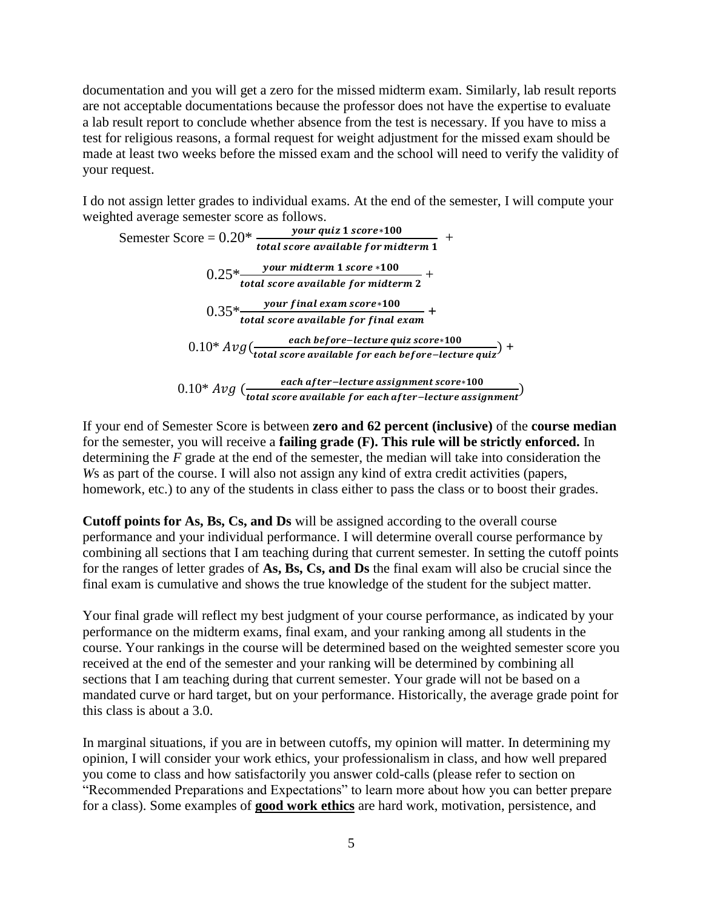documentation and you will get a zero for the missed midterm exam. Similarly, lab result reports are not acceptable documentations because the professor does not have the expertise to evaluate a lab result report to conclude whether absence from the test is necessary. If you have to miss a test for religious reasons, a formal request for weight adjustment for the missed exam should be made at least two weeks before the missed exam and the school will need to verify the validity of your request.

I do not assign letter grades to individual exams. At the end of the semester, I will compute your weighted average semester score as follows.

Semester Score = 
$$
0.20* \frac{your\ quiz\ 1\ score*100}{total\ score\ available\ for\ midterm\ 1}
$$

\n
$$
0.25* \frac{your\ midterm\ 1\ score*100}{total\ score\ available\ for\ midterm\ 2}
$$

\n
$$
0.35* \frac{your\ final\ exam\ score*100}{total\ score\ available\ for\ final\ exam}
$$

\n
$$
0.10* \text{Avg} \left( \frac{each\ before\ -lecture\ quiz\ score*100}{total\ score\ available\ for\ each\ before\ -lecture\ quiz} \right)
$$

\n
$$
0.10* \text{Avg} \left( \frac{each\ after\ -lecture\ assignment\ score*100}{total\ score\ available\ for\ each\ after\ -lecture\ assignment} \right)
$$

If your end of Semester Score is between **zero and 62 percent (inclusive)** of the **course median**  for the semester, you will receive a **failing grade (F). This rule will be strictly enforced.** In determining the *F* grade at the end of the semester, the median will take into consideration the *W*s as part of the course. I will also not assign any kind of extra credit activities (papers, homework, etc.) to any of the students in class either to pass the class or to boost their grades.

**Cutoff points for As, Bs, Cs, and Ds** will be assigned according to the overall course performance and your individual performance. I will determine overall course performance by combining all sections that I am teaching during that current semester. In setting the cutoff points for the ranges of letter grades of **As, Bs, Cs, and Ds** the final exam will also be crucial since the final exam is cumulative and shows the true knowledge of the student for the subject matter.

Your final grade will reflect my best judgment of your course performance, as indicated by your performance on the midterm exams, final exam, and your ranking among all students in the course. Your rankings in the course will be determined based on the weighted semester score you received at the end of the semester and your ranking will be determined by combining all sections that I am teaching during that current semester. Your grade will not be based on a mandated curve or hard target, but on your performance. Historically, the average grade point for this class is about a 3.0.

In marginal situations, if you are in between cutoffs, my opinion will matter. In determining my opinion, I will consider your work ethics, your professionalism in class, and how well prepared you come to class and how satisfactorily you answer cold-calls (please refer to section on "Recommended Preparations and Expectations" to learn more about how you can better prepare for a class). Some examples of **good work ethics** are hard work, motivation, persistence, and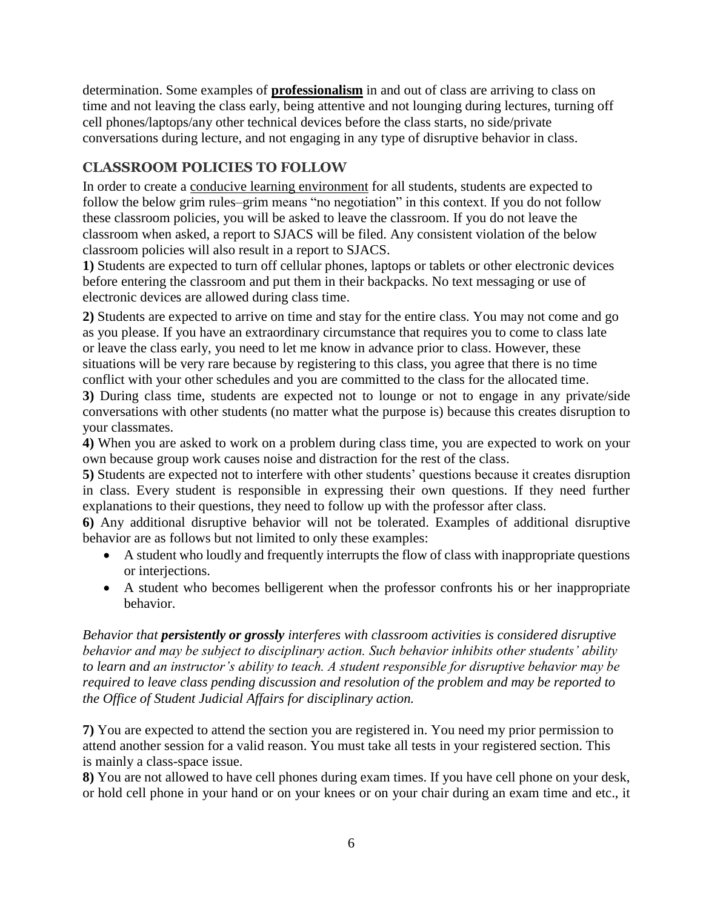determination. Some examples of **professionalism** in and out of class are arriving to class on time and not leaving the class early, being attentive and not lounging during lectures, turning off cell phones/laptops/any other technical devices before the class starts, no side/private conversations during lecture, and not engaging in any type of disruptive behavior in class.

# **CLASSROOM POLICIES TO FOLLOW**

In order to create a conducive learning environment for all students, students are expected to follow the below grim rules–grim means "no negotiation" in this context. If you do not follow these classroom policies, you will be asked to leave the classroom. If you do not leave the classroom when asked, a report to SJACS will be filed. Any consistent violation of the below classroom policies will also result in a report to SJACS.

**1)** Students are expected to turn off cellular phones, laptops or tablets or other electronic devices before entering the classroom and put them in their backpacks. No text messaging or use of electronic devices are allowed during class time.

**2)** Students are expected to arrive on time and stay for the entire class. You may not come and go as you please. If you have an extraordinary circumstance that requires you to come to class late or leave the class early, you need to let me know in advance prior to class. However, these situations will be very rare because by registering to this class, you agree that there is no time conflict with your other schedules and you are committed to the class for the allocated time.

**3)** During class time, students are expected not to lounge or not to engage in any private/side conversations with other students (no matter what the purpose is) because this creates disruption to your classmates.

**4)** When you are asked to work on a problem during class time, you are expected to work on your own because group work causes noise and distraction for the rest of the class.

**5)** Students are expected not to interfere with other students' questions because it creates disruption in class. Every student is responsible in expressing their own questions. If they need further explanations to their questions, they need to follow up with the professor after class.

**6)** Any additional disruptive behavior will not be tolerated. Examples of additional disruptive behavior are as follows but not limited to only these examples:

- A student who loudly and frequently interrupts the flow of class with inappropriate questions or interjections.
- A student who becomes belligerent when the professor confronts his or her inappropriate behavior.

*Behavior that persistently or grossly interferes with classroom activities is considered disruptive behavior and may be subject to disciplinary action. Such behavior inhibits other students' ability to learn and an instructor's ability to teach. A student responsible for disruptive behavior may be required to leave class pending discussion and resolution of the problem and may be reported to the Office of Student Judicial Affairs for disciplinary action.* 

**7)** You are expected to attend the section you are registered in. You need my prior permission to attend another session for a valid reason. You must take all tests in your registered section. This is mainly a class-space issue.

**8)** You are not allowed to have cell phones during exam times. If you have cell phone on your desk, or hold cell phone in your hand or on your knees or on your chair during an exam time and etc., it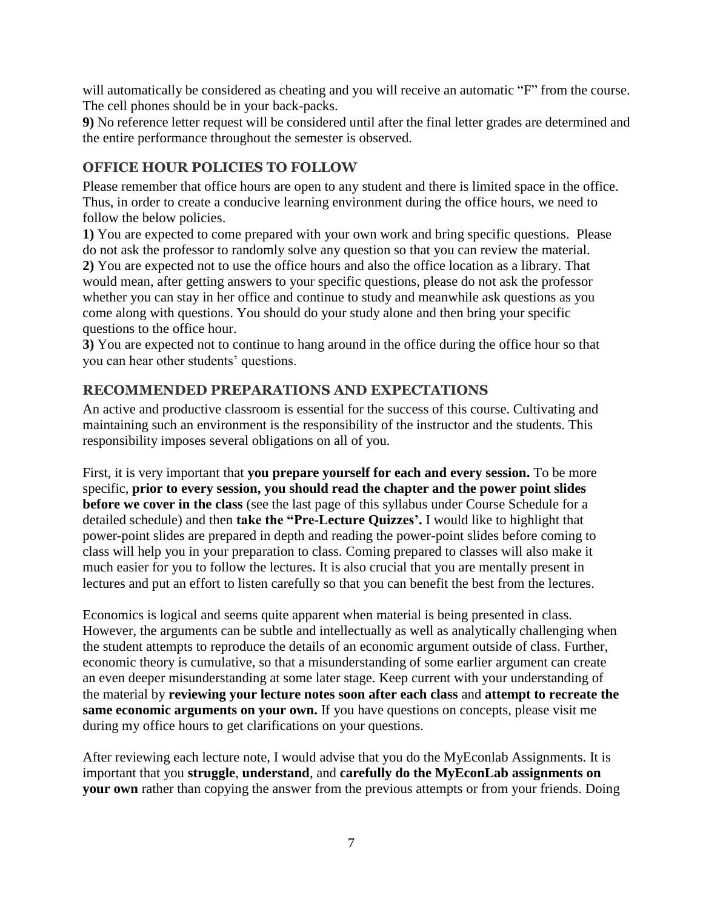will automatically be considered as cheating and you will receive an automatic "F" from the course. The cell phones should be in your back-packs.

**9)** No reference letter request will be considered until after the final letter grades are determined and the entire performance throughout the semester is observed.

# **OFFICE HOUR POLICIES TO FOLLOW**

Please remember that office hours are open to any student and there is limited space in the office. Thus, in order to create a conducive learning environment during the office hours, we need to follow the below policies.

**1)** You are expected to come prepared with your own work and bring specific questions. Please do not ask the professor to randomly solve any question so that you can review the material. **2)** You are expected not to use the office hours and also the office location as a library. That would mean, after getting answers to your specific questions, please do not ask the professor whether you can stay in her office and continue to study and meanwhile ask questions as you come along with questions. You should do your study alone and then bring your specific questions to the office hour.

**3)** You are expected not to continue to hang around in the office during the office hour so that you can hear other students' questions.

# **RECOMMENDED PREPARATIONS AND EXPECTATIONS**

An active and productive classroom is essential for the success of this course. Cultivating and maintaining such an environment is the responsibility of the instructor and the students. This responsibility imposes several obligations on all of you.

First, it is very important that **you prepare yourself for each and every session.** To be more specific, **prior to every session, you should read the chapter and the power point slides before we cover in the class** (see the last page of this syllabus under Course Schedule for a detailed schedule) and then **take the "Pre-Lecture Quizzes'.** I would like to highlight that power-point slides are prepared in depth and reading the power-point slides before coming to class will help you in your preparation to class. Coming prepared to classes will also make it much easier for you to follow the lectures. It is also crucial that you are mentally present in lectures and put an effort to listen carefully so that you can benefit the best from the lectures.

Economics is logical and seems quite apparent when material is being presented in class. However, the arguments can be subtle and intellectually as well as analytically challenging when the student attempts to reproduce the details of an economic argument outside of class. Further, economic theory is cumulative, so that a misunderstanding of some earlier argument can create an even deeper misunderstanding at some later stage. Keep current with your understanding of the material by **reviewing your lecture notes soon after each class** and **attempt to recreate the same economic arguments on your own.** If you have questions on concepts, please visit me during my office hours to get clarifications on your questions.

After reviewing each lecture note, I would advise that you do the MyEconlab Assignments. It is important that you **struggle**, **understand**, and **carefully do the MyEconLab assignments on your own** rather than copying the answer from the previous attempts or from your friends. Doing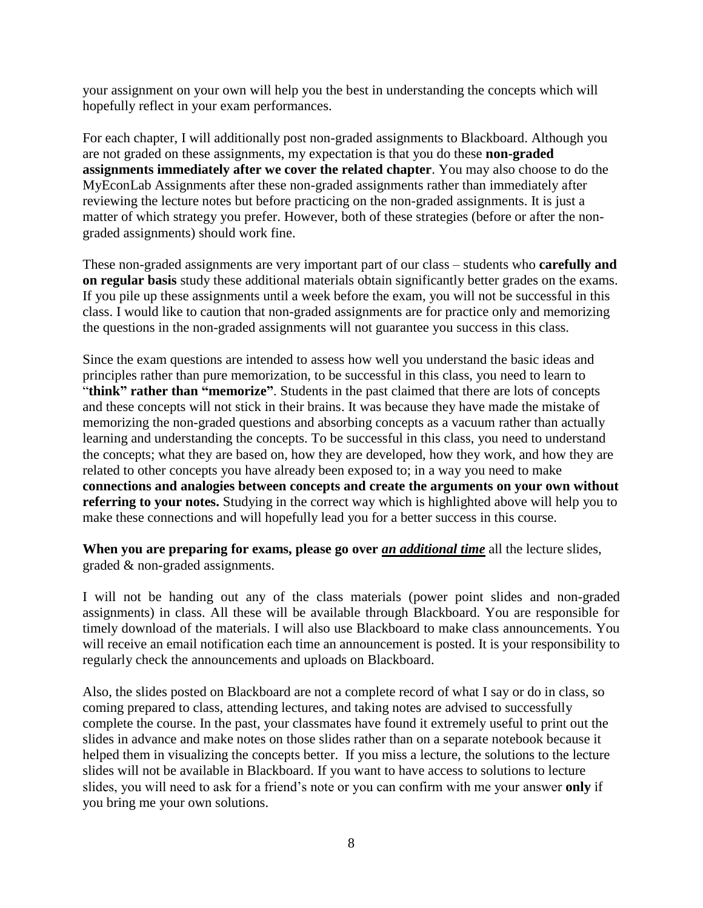your assignment on your own will help you the best in understanding the concepts which will hopefully reflect in your exam performances.

For each chapter, I will additionally post non-graded assignments to Blackboard. Although you are not graded on these assignments, my expectation is that you do these **non-graded assignments immediately after we cover the related chapter**. You may also choose to do the MyEconLab Assignments after these non-graded assignments rather than immediately after reviewing the lecture notes but before practicing on the non-graded assignments. It is just a matter of which strategy you prefer. However, both of these strategies (before or after the nongraded assignments) should work fine.

These non-graded assignments are very important part of our class – students who **carefully and on regular basis** study these additional materials obtain significantly better grades on the exams. If you pile up these assignments until a week before the exam, you will not be successful in this class. I would like to caution that non-graded assignments are for practice only and memorizing the questions in the non-graded assignments will not guarantee you success in this class.

Since the exam questions are intended to assess how well you understand the basic ideas and principles rather than pure memorization, to be successful in this class, you need to learn to "**think" rather than "memorize"**. Students in the past claimed that there are lots of concepts and these concepts will not stick in their brains. It was because they have made the mistake of memorizing the non-graded questions and absorbing concepts as a vacuum rather than actually learning and understanding the concepts. To be successful in this class, you need to understand the concepts; what they are based on, how they are developed, how they work, and how they are related to other concepts you have already been exposed to; in a way you need to make **connections and analogies between concepts and create the arguments on your own without referring to your notes.** Studying in the correct way which is highlighted above will help you to make these connections and will hopefully lead you for a better success in this course.

When you are preparing for exams, please go over <u>an additional time</u> all the lecture slides, graded & non-graded assignments.

I will not be handing out any of the class materials (power point slides and non-graded assignments) in class. All these will be available through Blackboard. You are responsible for timely download of the materials. I will also use Blackboard to make class announcements. You will receive an email notification each time an announcement is posted. It is your responsibility to regularly check the announcements and uploads on Blackboard.

Also, the slides posted on Blackboard are not a complete record of what I say or do in class, so coming prepared to class, attending lectures, and taking notes are advised to successfully complete the course. In the past, your classmates have found it extremely useful to print out the slides in advance and make notes on those slides rather than on a separate notebook because it helped them in visualizing the concepts better. If you miss a lecture, the solutions to the lecture slides will not be available in Blackboard. If you want to have access to solutions to lecture slides, you will need to ask for a friend's note or you can confirm with me your answer **only** if you bring me your own solutions.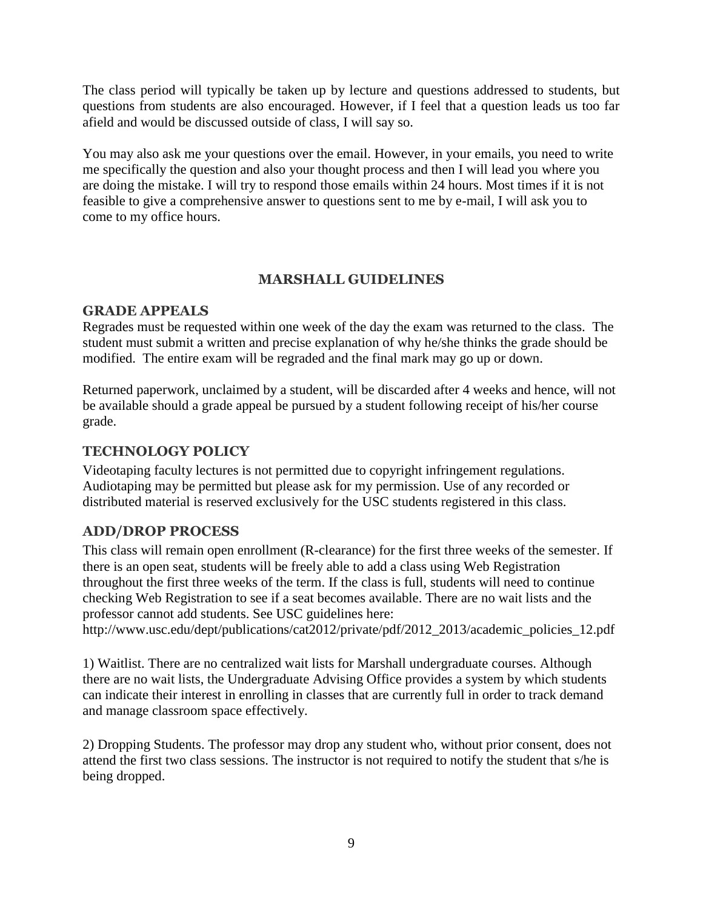The class period will typically be taken up by lecture and questions addressed to students, but questions from students are also encouraged. However, if I feel that a question leads us too far afield and would be discussed outside of class, I will say so.

You may also ask me your questions over the email. However, in your emails, you need to write me specifically the question and also your thought process and then I will lead you where you are doing the mistake. I will try to respond those emails within 24 hours. Most times if it is not feasible to give a comprehensive answer to questions sent to me by e-mail, I will ask you to come to my office hours.

#### **MARSHALL GUIDELINES**

#### **GRADE APPEALS**

Regrades must be requested within one week of the day the exam was returned to the class. The student must submit a written and precise explanation of why he/she thinks the grade should be modified. The entire exam will be regraded and the final mark may go up or down.

Returned paperwork, unclaimed by a student, will be discarded after 4 weeks and hence, will not be available should a grade appeal be pursued by a student following receipt of his/her course grade.

### **TECHNOLOGY POLICY**

Videotaping faculty lectures is not permitted due to copyright infringement regulations. Audiotaping may be permitted but please ask for my permission. Use of any recorded or distributed material is reserved exclusively for the USC students registered in this class.

#### **ADD/DROP PROCESS**

This class will remain open enrollment (R-clearance) for the first three weeks of the semester. If there is an open seat, students will be freely able to add a class using Web Registration throughout the first three weeks of the term. If the class is full, students will need to continue checking Web Registration to see if a seat becomes available. There are no wait lists and the professor cannot add students. See USC guidelines here:

http://www.usc.edu/dept/publications/cat2012/private/pdf/2012\_2013/academic\_policies\_12.pdf

1) Waitlist. There are no centralized wait lists for Marshall undergraduate courses. Although there are no wait lists, the Undergraduate Advising Office provides a system by which students can indicate their interest in enrolling in classes that are currently full in order to track demand and manage classroom space effectively.

2) Dropping Students. The professor may drop any student who, without prior consent, does not attend the first two class sessions. The instructor is not required to notify the student that s/he is being dropped.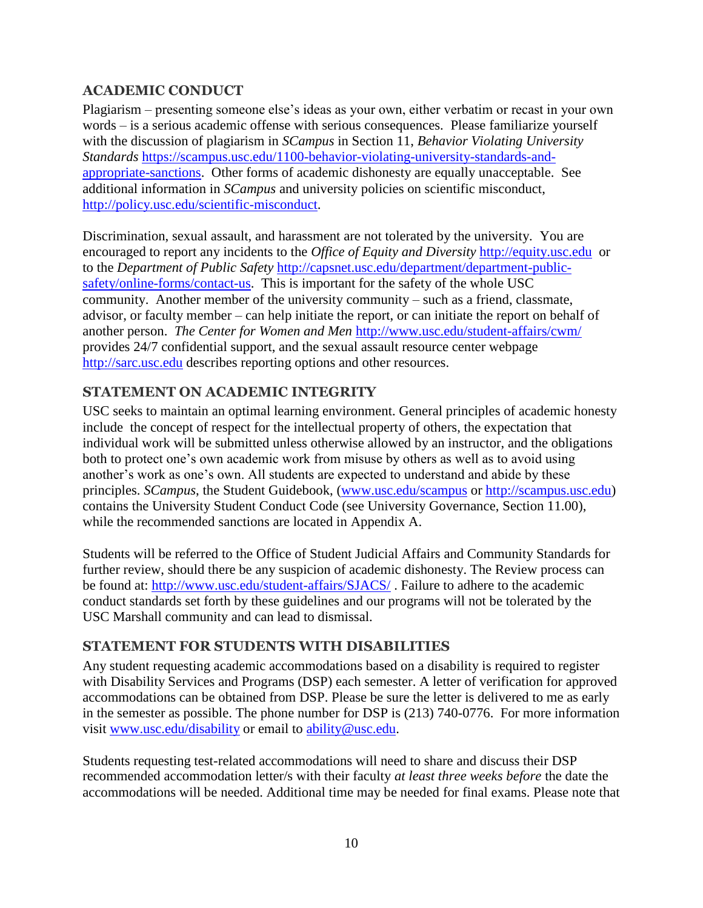### **ACADEMIC CONDUCT**

Plagiarism – presenting someone else's ideas as your own, either verbatim or recast in your own words – is a serious academic offense with serious consequences. Please familiarize yourself with the discussion of plagiarism in *SCampus* in Section 11, *Behavior Violating University Standards* [https://scampus.usc.edu/1100-behavior-violating-university-standards-and](https://mail.marshall.usc.edu/owa/redir.aspx?C=Vu2hEjQNpUmZu0FSf5pxhA5_OsfB7tEINm0f_4T8z_VSyxahfuPOlik20qNfSTA4BAsoUF1CytQ.&URL=https%3a%2f%2fscampus.usc.edu%2f1100-behavior-violating-university-standards-and-appropriate-sanctions%2f)[appropriate-sanctions.](https://mail.marshall.usc.edu/owa/redir.aspx?C=Vu2hEjQNpUmZu0FSf5pxhA5_OsfB7tEINm0f_4T8z_VSyxahfuPOlik20qNfSTA4BAsoUF1CytQ.&URL=https%3a%2f%2fscampus.usc.edu%2f1100-behavior-violating-university-standards-and-appropriate-sanctions%2f) Other forms of academic dishonesty are equally unacceptable. See additional information in *SCampus* and university policies on scientific misconduct, [http://policy.usc.edu/scientific-misconduct.](https://mail.marshall.usc.edu/owa/redir.aspx?C=Vu2hEjQNpUmZu0FSf5pxhA5_OsfB7tEINm0f_4T8z_VSyxahfuPOlik20qNfSTA4BAsoUF1CytQ.&URL=http%3a%2f%2fpolicy.usc.edu%2fscientific-misconduct%2f)

Discrimination, sexual assault, and harassment are not tolerated by the university. You are encouraged to report any incidents to the *Office of Equity and Diversity* [http://equity.usc.edu](https://mail.marshall.usc.edu/owa/redir.aspx?C=Vu2hEjQNpUmZu0FSf5pxhA5_OsfB7tEINm0f_4T8z_VSyxahfuPOlik20qNfSTA4BAsoUF1CytQ.&URL=http%3a%2f%2fequity.usc.edu) or to the *Department of Public Safety* [http://capsnet.usc.edu/department/department-public](https://mail.marshall.usc.edu/owa/redir.aspx?C=Vu2hEjQNpUmZu0FSf5pxhA5_OsfB7tEINm0f_4T8z_VSyxahfuPOlik20qNfSTA4BAsoUF1CytQ.&URL=http%3a%2f%2fcapsnet.usc.edu%2fdepartment%2fdepartment-public-safety%2fonline-forms%2fcontact-us)[safety/online-forms/contact-us.](https://mail.marshall.usc.edu/owa/redir.aspx?C=Vu2hEjQNpUmZu0FSf5pxhA5_OsfB7tEINm0f_4T8z_VSyxahfuPOlik20qNfSTA4BAsoUF1CytQ.&URL=http%3a%2f%2fcapsnet.usc.edu%2fdepartment%2fdepartment-public-safety%2fonline-forms%2fcontact-us) This is important for the safety of the whole USC community. Another member of the university community – such as a friend, classmate, advisor, or faculty member – can help initiate the report, or can initiate the report on behalf of another person. *The Center for Women and Men* [http://www.usc.edu/student-affairs/cwm/](https://mail.marshall.usc.edu/owa/redir.aspx?C=Vu2hEjQNpUmZu0FSf5pxhA5_OsfB7tEINm0f_4T8z_VSyxahfuPOlik20qNfSTA4BAsoUF1CytQ.&URL=http%3a%2f%2fwww.usc.edu%2fstudent-affairs%2fcwm%2f) provides 24/7 confidential support, and the sexual assault resource center webpage [http://sarc.usc.edu](https://mail.marshall.usc.edu/owa/redir.aspx?C=Vu2hEjQNpUmZu0FSf5pxhA5_OsfB7tEINm0f_4T8z_VSyxahfuPOlik20qNfSTA4BAsoUF1CytQ.&URL=http%3a%2f%2fsarc.usc.edu) describes reporting options and other resources.

### **STATEMENT ON ACADEMIC INTEGRITY**

USC seeks to maintain an optimal learning environment. General principles of academic honesty include the concept of respect for the intellectual property of others, the expectation that individual work will be submitted unless otherwise allowed by an instructor, and the obligations both to protect one's own academic work from misuse by others as well as to avoid using another's work as one's own. All students are expected to understand and abide by these principles. *SCampus*, the Student Guidebook, [\(www.usc.edu/scampus](http://www.usc.edu/scampus) or [http://scampus.usc.edu\)](http://scampus.usc.edu/) contains the University Student Conduct Code (see University Governance, Section 11.00), while the recommended sanctions are located in Appendix A.

Students will be referred to the Office of Student Judicial Affairs and Community Standards for further review, should there be any suspicion of academic dishonesty. The Review process can be found at:<http://www.usc.edu/student-affairs/SJACS/>. Failure to adhere to the academic conduct standards set forth by these guidelines and our programs will not be tolerated by the USC Marshall community and can lead to dismissal.

#### **STATEMENT FOR STUDENTS WITH DISABILITIES**

Any student requesting academic accommodations based on a disability is required to register with Disability Services and Programs (DSP) each semester. A letter of verification for approved accommodations can be obtained from DSP. Please be sure the letter is delivered to me as early in the semester as possible. The phone number for DSP is (213) 740-0776. For more information visit [www.usc.edu/disability](http://www.usc.edu/disability) or email to [ability@usc.edu.](mailto:ability@usc.edu)

Students requesting test-related accommodations will need to share and discuss their DSP recommended accommodation letter/s with their faculty *at least three weeks before* the date the accommodations will be needed. Additional time may be needed for final exams. Please note that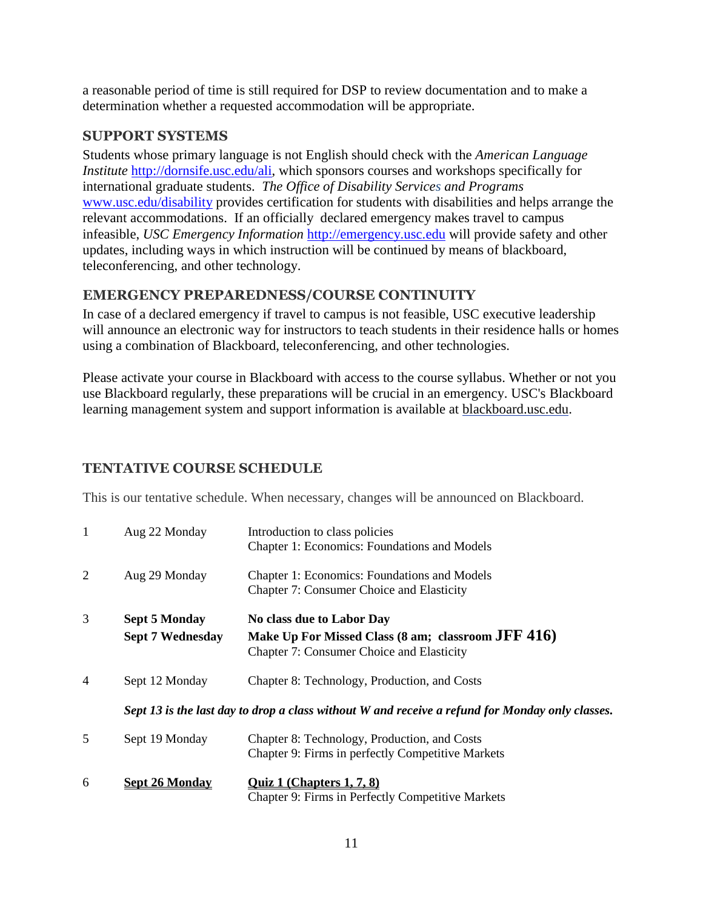a reasonable period of time is still required for DSP to review documentation and to make a determination whether a requested accommodation will be appropriate.

### **SUPPORT SYSTEMS**

Students whose primary language is not English should check with the *American Language Institute* [http://dornsife.usc.edu/ali,](https://mail.marshall.usc.edu/owa/redir.aspx?C=Vu2hEjQNpUmZu0FSf5pxhA5_OsfB7tEINm0f_4T8z_VSyxahfuPOlik20qNfSTA4BAsoUF1CytQ.&URL=http%3a%2f%2fdornsife.usc.edu%2fali) which sponsors courses and workshops specifically for international graduate students. *The Office of Disability Services and Programs*  [www.usc.edu/disability](https://mail.marshall.usc.edu/owa/redir.aspx?C=Vu2hEjQNpUmZu0FSf5pxhA5_OsfB7tEINm0f_4T8z_VSyxahfuPOlik20qNfSTA4BAsoUF1CytQ.&URL=http%3a%2f%2fwww.usc.edu%2fdisability) provides certification for students with disabilities and helps arrange the relevant accommodations. If an officially declared emergency makes travel to campus infeasible, *USC Emergency Information* [http://emergency.usc.edu](https://mail.marshall.usc.edu/owa/redir.aspx?C=Vu2hEjQNpUmZu0FSf5pxhA5_OsfB7tEINm0f_4T8z_VSyxahfuPOlik20qNfSTA4BAsoUF1CytQ.&URL=http%3a%2f%2femergency.usc.edu) will provide safety and other updates, including ways in which instruction will be continued by means of blackboard, teleconferencing, and other technology.

# **EMERGENCY PREPAREDNESS/COURSE CONTINUITY**

In case of a declared emergency if travel to campus is not feasible, USC executive leadership will announce an electronic way for instructors to teach students in their residence halls or homes using a combination of Blackboard, teleconferencing, and other technologies.

Please activate your course in Blackboard with access to the course syllabus. Whether or not you use Blackboard regularly, these preparations will be crucial in an emergency. USC's Blackboard learning management system and support information is available at [blackboard.usc.edu.](http://blackboard.usc.edu/)

# **TENTATIVE COURSE SCHEDULE**

This is our tentative schedule. When necessary, changes will be announced on Blackboard.

| $\mathbf{1}$   | Aug 22 Monday                                   | Introduction to class policies<br>Chapter 1: Economics: Foundations and Models                                               |
|----------------|-------------------------------------------------|------------------------------------------------------------------------------------------------------------------------------|
| 2              | Aug 29 Monday                                   | <b>Chapter 1: Economics: Foundations and Models</b><br><b>Chapter 7: Consumer Choice and Elasticity</b>                      |
| 3              | <b>Sept 5 Monday</b><br><b>Sept 7 Wednesday</b> | No class due to Labor Day<br>Make Up For Missed Class (8 am; classroom JFF 416)<br>Chapter 7: Consumer Choice and Elasticity |
| $\overline{4}$ | Sept 12 Monday                                  | Chapter 8: Technology, Production, and Costs                                                                                 |
|                |                                                 | Sept 13 is the last day to drop a class without W and receive a refund for Monday only classes.                              |
| 5              | Sept 19 Monday                                  | Chapter 8: Technology, Production, and Costs<br>Chapter 9: Firms in perfectly Competitive Markets                            |
| 6              | <b>Sept 26 Monday</b>                           | <b>Quiz 1 (Chapters 1, 7, 8)</b><br><b>Chapter 9: Firms in Perfectly Competitive Markets</b>                                 |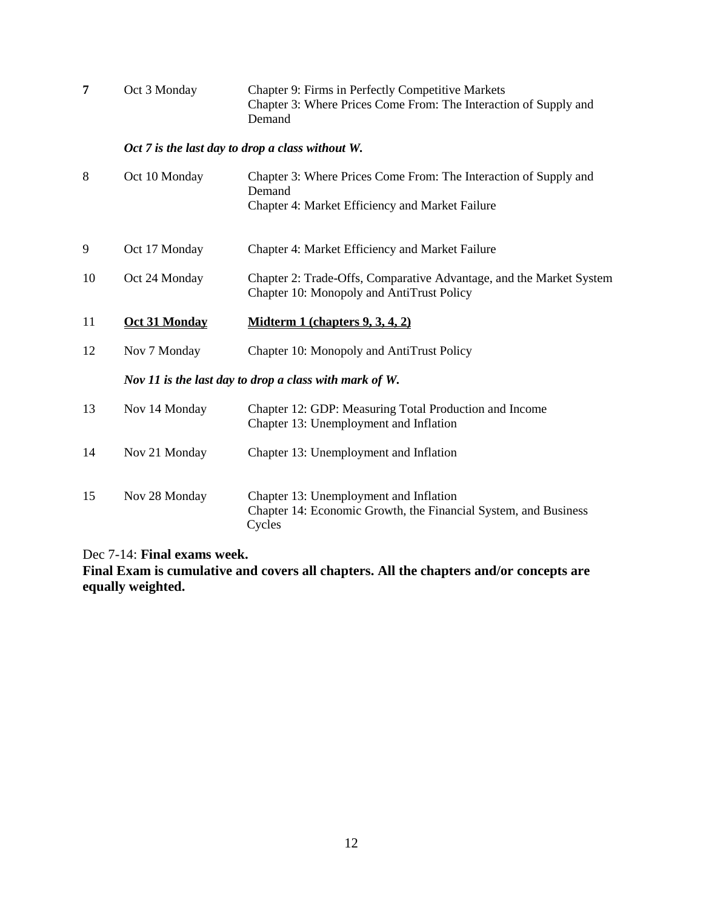| 7  | Oct 3 Monday                                           | Chapter 9: Firms in Perfectly Competitive Markets<br>Chapter 3: Where Prices Come From: The Interaction of Supply and<br>Demand |  |  |  |  |  |
|----|--------------------------------------------------------|---------------------------------------------------------------------------------------------------------------------------------|--|--|--|--|--|
|    | Oct 7 is the last day to drop a class without W.       |                                                                                                                                 |  |  |  |  |  |
| 8  | Oct 10 Monday                                          | Chapter 3: Where Prices Come From: The Interaction of Supply and<br>Demand<br>Chapter 4: Market Efficiency and Market Failure   |  |  |  |  |  |
| 9  | Oct 17 Monday                                          | Chapter 4: Market Efficiency and Market Failure                                                                                 |  |  |  |  |  |
| 10 | Oct 24 Monday                                          | Chapter 2: Trade-Offs, Comparative Advantage, and the Market System<br>Chapter 10: Monopoly and AntiTrust Policy                |  |  |  |  |  |
| 11 | <b>Oct 31 Monday</b>                                   | Midterm 1 (chapters $9, 3, 4, 2$ )                                                                                              |  |  |  |  |  |
| 12 | Nov 7 Monday                                           | Chapter 10: Monopoly and AntiTrust Policy                                                                                       |  |  |  |  |  |
|    | Nov 11 is the last day to drop a class with mark of W. |                                                                                                                                 |  |  |  |  |  |
| 13 | Nov 14 Monday                                          | Chapter 12: GDP: Measuring Total Production and Income                                                                          |  |  |  |  |  |
|    |                                                        | Chapter 13: Unemployment and Inflation                                                                                          |  |  |  |  |  |
| 14 | Nov 21 Monday                                          | Chapter 13: Unemployment and Inflation                                                                                          |  |  |  |  |  |

Dec 7-14: **Final exams week.** 

**Final Exam is cumulative and covers all chapters. All the chapters and/or concepts are equally weighted.**